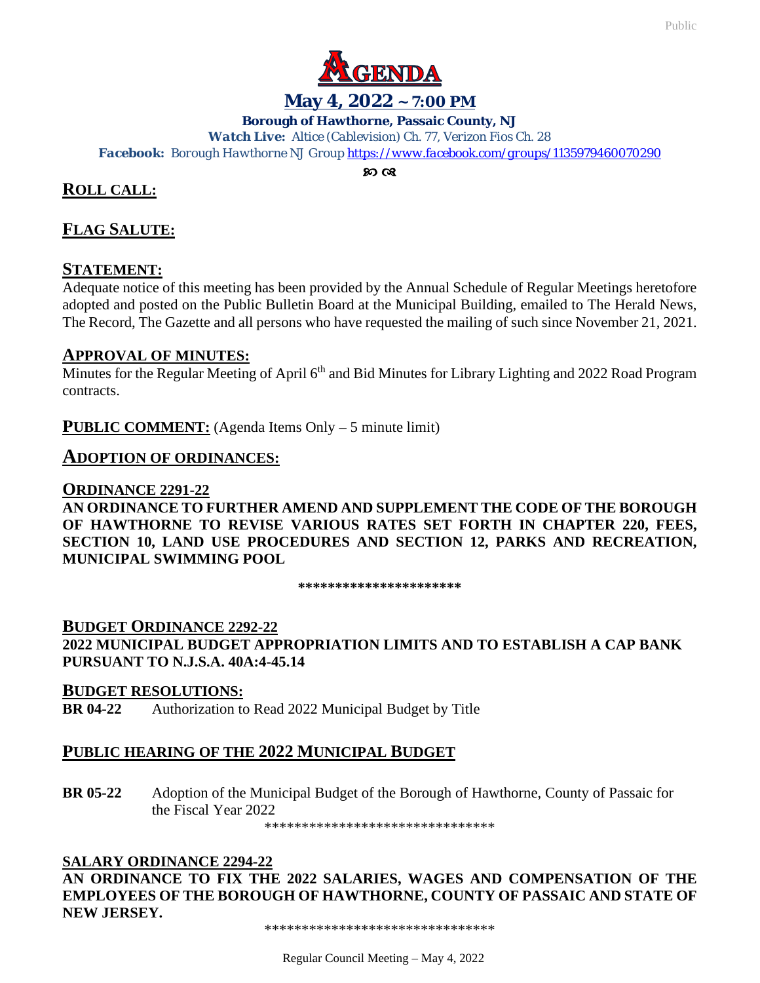

## **May 4, 2022 ~ 7:00 PM**

#### **Borough of Hawthorne, Passaic County, NJ**

*Watch Live: Altice (Cablevision) Ch. 77, Verizon Fios Ch. 28*

*Facebook: Borough Hawthorne NJ Grou[p https://www.facebook.com/groups/1135979460070290](https://www.facebook.com/groups/1135979460070290)*

## **ROLL CALL:**

# **FLAG SALUTE:**

#### **STATEMENT:**

Adequate notice of this meeting has been provided by the Annual Schedule of Regular Meetings heretofore adopted and posted on the Public Bulletin Board at the Municipal Building, emailed to The Herald News, The Record, The Gazette and all persons who have requested the mailing of such since November 21, 2021.

#### **APPROVAL OF MINUTES:**

Minutes for the Regular Meeting of April 6<sup>th</sup> and Bid Minutes for Library Lighting and 2022 Road Program contracts.

**PUBLIC COMMENT:** (Agenda Items Only – 5 minute limit)

#### **ADOPTION OF ORDINANCES:**

#### **ORDINANCE 2291-22**

**AN ORDINANCE TO FURTHER AMEND AND SUPPLEMENT THE CODE OF THE BOROUGH OF HAWTHORNE TO REVISE VARIOUS RATES SET FORTH IN CHAPTER 220, FEES, SECTION 10, LAND USE PROCEDURES AND SECTION 12, PARKS AND RECREATION, MUNICIPAL SWIMMING POOL**

**\*\*\*\*\*\*\*\*\*\*\*\*\*\*\*\*\*\*\*\*\*\***

**BUDGET ORDINANCE 2292-22 2022 MUNICIPAL BUDGET APPROPRIATION LIMITS AND TO ESTABLISH A CAP BANK PURSUANT TO N.J.S.A. 40A:4-45.14**

#### **BUDGET RESOLUTIONS:**

**BR 04-22** Authorization to Read 2022 Municipal Budget by Title

#### **PUBLIC HEARING OF THE 2022 MUNICIPAL BUDGET**

**BR 05-22** Adoption of the Municipal Budget of the Borough of Hawthorne, County of Passaic for the Fiscal Year 2022

\*\*\*\*\*\*\*\*\*\*\*\*\*\*\*\*\*\*\*\*\*\*\*\*\*\*\*\*\*\*\*

#### **SALARY ORDINANCE 2294-22**

**AN ORDINANCE TO FIX THE 2022 SALARIES, WAGES AND COMPENSATION OF THE EMPLOYEES OF THE BOROUGH OF HAWTHORNE, COUNTY OF PASSAIC AND STATE OF NEW JERSEY.**

\*\*\*\*\*\*\*\*\*\*\*\*\*\*\*\*\*\*\*\*\*\*\*\*\*\*\*\*\*\*\*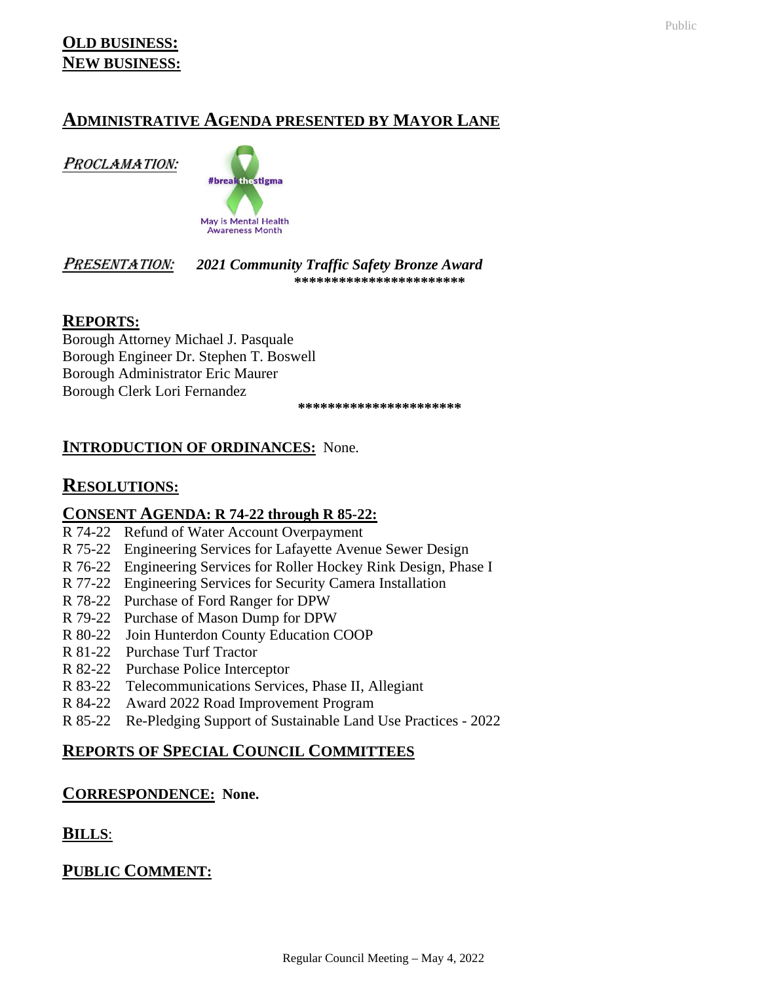# **ADMINISTRATIVE AGENDA PRESENTED BY MAYOR LANE**

PROCLAMATION:



#### PRESENTATION: *2021 Community Traffic Safety Bronze Award* **\*\*\*\*\*\*\*\*\*\*\*\*\*\*\*\*\*\*\*\*\*\*\***

**REPORTS:**

Borough Attorney Michael J. Pasquale Borough Engineer Dr. Stephen T. Boswell Borough Administrator Eric Maurer Borough Clerk Lori Fernandez

**\*\*\*\*\*\*\*\*\*\*\*\*\*\*\*\*\*\*\*\*\*\***

# **INTRODUCTION OF ORDINANCES:** None.

# **RESOLUTIONS:**

## **CONSENT AGENDA: R 74-22 through R 85-22:**

- R 74-22 Refund of Water Account Overpayment
- R 75-22 Engineering Services for Lafayette Avenue Sewer Design
- R 76-22 Engineering Services for Roller Hockey Rink Design, Phase I
- R 77-22 Engineering Services for Security Camera Installation
- R 78-22 Purchase of Ford Ranger for DPW
- R 79-22 Purchase of Mason Dump for DPW
- R 80-22 Join Hunterdon County Education COOP
- R 81-22 Purchase Turf Tractor
- R 82-22 Purchase Police Interceptor
- R 83-22 Telecommunications Services, Phase II, Allegiant
- R 84-22 Award 2022 Road Improvement Program
- R 85-22 Re-Pledging Support of Sustainable Land Use Practices 2022

# **REPORTS OF SPECIAL COUNCIL COMMITTEES**

# **CORRESPONDENCE: None.**

**BILLS**:

**PUBLIC COMMENT:**